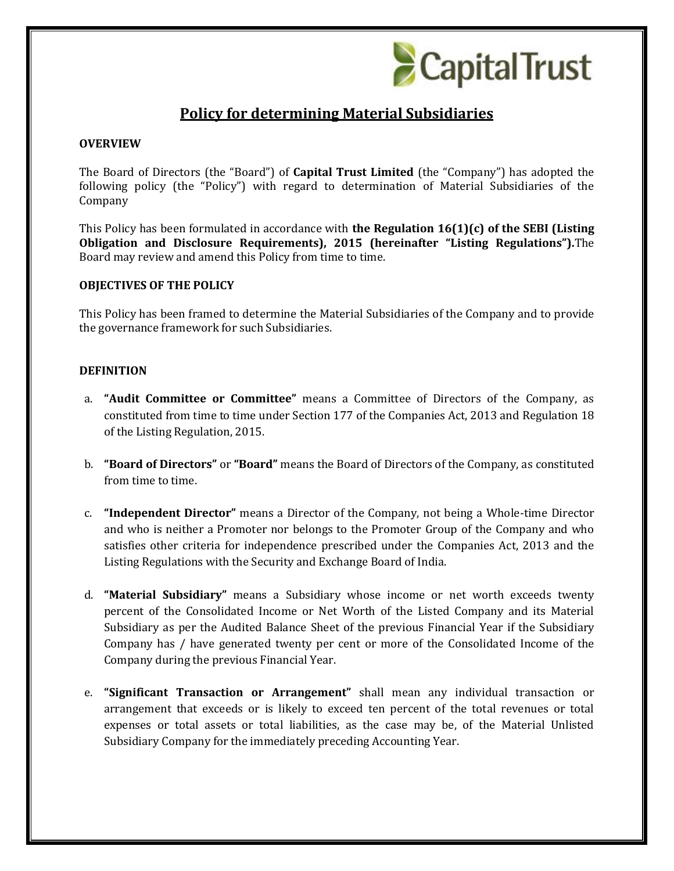

# **Policy for determining Material Subsidiaries**

### **OVERVIEW**

The Board of Directors (the "Board") of **Capital Trust Limited** (the "Company") has adopted the following policy (the "Policy") with regard to determination of Material Subsidiaries of the Company

This Policy has been formulated in accordance with **the Regulation 16(1)(c) of the SEBI (Listing Obligation and Disclosure Requirements), 2015 (hereinafter "Listing Regulations").**The Board may review and amend this Policy from time to time.

#### **OBJECTIVES OF THE POLICY**

This Policy has been framed to determine the Material Subsidiaries of the Company and to provide the governance framework for such Subsidiaries.

#### **DEFINITION**

- a. **"Audit Committee or Committee"** means a Committee of Directors of the Company, as constituted from time to time under Section 177 of the Companies Act, 2013 and Regulation 18 of the Listing Regulation, 2015.
- b. **"Board of Directors"** or **"Board"** means the Board of Directors of the Company, as constituted from time to time.
- c. **"Independent Director"** means a Director of the Company, not being a Whole-time Director and who is neither a Promoter nor belongs to the Promoter Group of the Company and who satisfies other criteria for independence prescribed under the Companies Act, 2013 and the Listing Regulations with the Security and Exchange Board of India.
- d. **"Material Subsidiary"** means a Subsidiary whose income or net worth exceeds twenty percent of the Consolidated Income or Net Worth of the Listed Company and its Material Subsidiary as per the Audited Balance Sheet of the previous Financial Year if the Subsidiary Company has / have generated twenty per cent or more of the Consolidated Income of the Company during the previous Financial Year.
- e. **"Significant Transaction or Arrangement"** shall mean any individual transaction or arrangement that exceeds or is likely to exceed ten percent of the total revenues or total expenses or total assets or total liabilities, as the case may be, of the Material Unlisted Subsidiary Company for the immediately preceding Accounting Year.